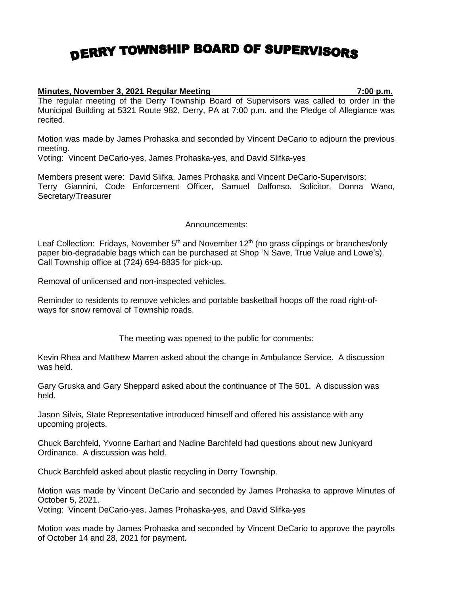## DERRY TOWNSHIP BOARD OF SUPERVISORS

## **Minutes, November 3, 2021 Regular Meeting 7:00 p.m.**

The regular meeting of the Derry Township Board of Supervisors was called to order in the Municipal Building at 5321 Route 982, Derry, PA at 7:00 p.m. and the Pledge of Allegiance was recited.

Motion was made by James Prohaska and seconded by Vincent DeCario to adjourn the previous meeting.

Voting: Vincent DeCario-yes, James Prohaska-yes, and David Slifka-yes

Members present were: David Slifka, James Prohaska and Vincent DeCario-Supervisors; Terry Giannini, Code Enforcement Officer, Samuel Dalfonso, Solicitor, Donna Wano, Secretary/Treasurer

## Announcements:

Leaf Collection: Fridays, November  $5<sup>th</sup>$  and November 12<sup>th</sup> (no grass clippings or branches/only paper bio-degradable bags which can be purchased at Shop 'N Save, True Value and Lowe's). Call Township office at (724) 694-8835 for pick-up.

Removal of unlicensed and non-inspected vehicles.

Reminder to residents to remove vehicles and portable basketball hoops off the road right-ofways for snow removal of Township roads.

The meeting was opened to the public for comments:

Kevin Rhea and Matthew Marren asked about the change in Ambulance Service. A discussion was held.

Gary Gruska and Gary Sheppard asked about the continuance of The 501. A discussion was held.

Jason Silvis, State Representative introduced himself and offered his assistance with any upcoming projects.

Chuck Barchfeld, Yvonne Earhart and Nadine Barchfeld had questions about new Junkyard Ordinance. A discussion was held.

Chuck Barchfeld asked about plastic recycling in Derry Township.

Motion was made by Vincent DeCario and seconded by James Prohaska to approve Minutes of October 5, 2021.

Voting: Vincent DeCario-yes, James Prohaska-yes, and David Slifka-yes

Motion was made by James Prohaska and seconded by Vincent DeCario to approve the payrolls of October 14 and 28, 2021 for payment.